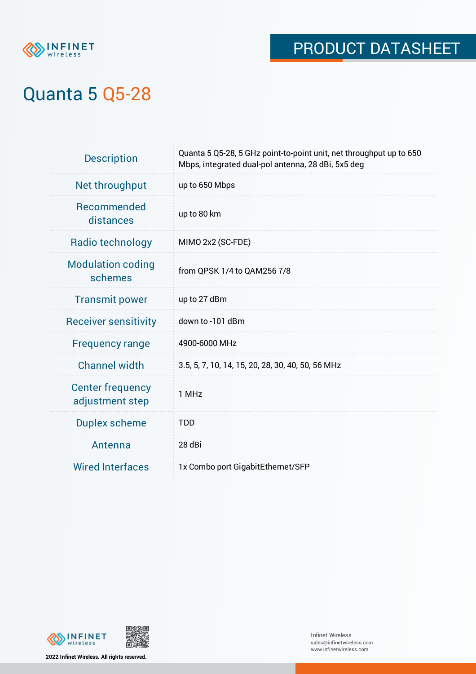

# Quanta 5 Q5-28

| <b>Description</b>                         | Quanta 5 Q5-28, 5 GHz point-to-point unit, net throughput up to 650<br>Mbps, integrated dual-pol antenna, 28 dBi, 5x5 deg |
|--------------------------------------------|---------------------------------------------------------------------------------------------------------------------------|
| Net throughput                             | up to 650 Mbps                                                                                                            |
| <b>Recommended</b><br>distances            | up to 80 km                                                                                                               |
| Radio technology                           | MIMO 2x2 (SC-FDE)                                                                                                         |
| <b>Modulation coding</b><br>schemes        | from QPSK 1/4 to QAM256 7/8                                                                                               |
| <b>Transmit power</b>                      | up to 27 dBm                                                                                                              |
| <b>Receiver sensitivity</b>                | down to -101 dBm                                                                                                          |
| <b>Frequency range</b>                     | 4900-6000 MHz                                                                                                             |
| <b>Channel width</b>                       | 3.5, 5, 7, 10, 14, 15, 20, 28, 30, 40, 50, 56 MHz                                                                         |
| <b>Center frequency</b><br>adjustment step | 1 MHz                                                                                                                     |
| <b>Duplex scheme</b>                       | <b>TDD</b>                                                                                                                |
| Antenna                                    | 28 dBi                                                                                                                    |
| <b>Wired Interfaces</b>                    | 1x Combo port GigabitEthernet/SFP                                                                                         |





**2022 Infinet Wireless. All rights reserved.**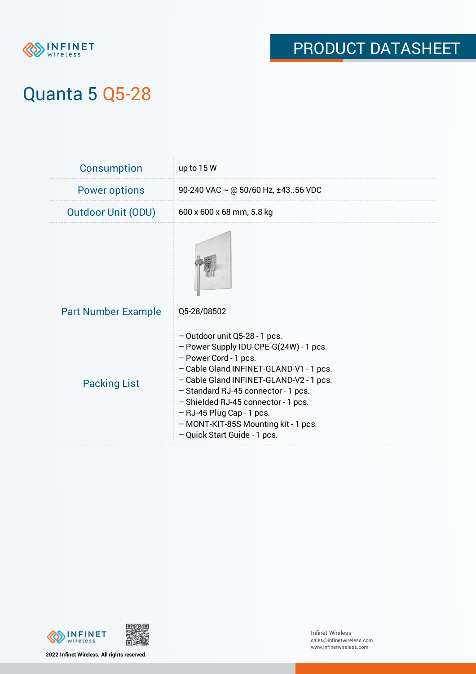

# Quanta 5 Q5-28

| <b>Consumption</b>         | up to 15 W                                                                                                                                                                                                                                                                                                                                                                  |
|----------------------------|-----------------------------------------------------------------------------------------------------------------------------------------------------------------------------------------------------------------------------------------------------------------------------------------------------------------------------------------------------------------------------|
| <b>Power options</b>       | 90-240 VAC $\sim$ @ 50/60 Hz, ±4356 VDC                                                                                                                                                                                                                                                                                                                                     |
| <b>Outdoor Unit (ODU)</b>  | 600 x 600 x 68 mm, 5.8 kg                                                                                                                                                                                                                                                                                                                                                   |
|                            |                                                                                                                                                                                                                                                                                                                                                                             |
| <b>Part Number Example</b> | Q5-28/08502                                                                                                                                                                                                                                                                                                                                                                 |
| <b>Packing List</b>        | $-$ Outdoor unit Q5-28 - 1 pcs.<br>- Power Supply IDU-CPE-G(24W) - 1 pcs.<br>- Power Cord - 1 pcs.<br>- Cable Gland INFINET-GLAND-V1 - 1 pcs.<br>- Cable Gland INFINET-GLAND-V2 - 1 pcs.<br>- Standard RJ-45 connector - 1 pcs.<br>- Shielded RJ-45 connector - 1 pcs.<br>- RJ-45 Plug Cap - 1 pcs.<br>- MONT-KIT-85S Mounting kit - 1 pcs.<br>- Quick Start Guide - 1 pcs. |





**2022 Infinet Wireless. All rights reserved.**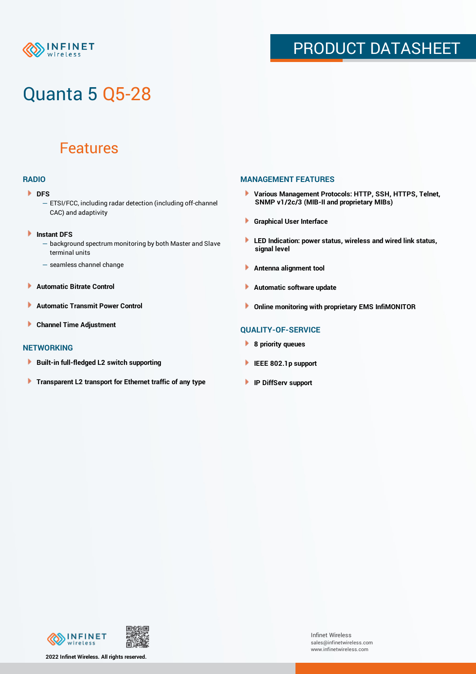

# Quanta 5 Q5-28

### Features

### **RADIO**

- **DFS** 
	- ETSI/FCC, including radar detection (including off-channel CAC) and adaptivity
- Þ **Instant DFS**
	- background spectrum monitoring by both Master and Slave terminal units
	- seamless channel change
- **Automatic Bitrate Control** Þ
- Þ **Automatic Transmit Power Control**
- Þ **Channel Time Adjustment**

#### **NETWORKING**

- Þ **Built-in full-fledged L2 switch supporting**
- Þ **Transparent L2 transport for Ethernet traffic of any type**

### **MANAGEMENT FEATURES**

- **Various Management Protocols: HTTP, SSH, HTTPS, Telnet, SNMP v1/2c/3 (MIB-II and proprietary MIBs)**
- **Graphical User Interface**
- **LED Indication: power status, wireless and wired link status, signal level**
- **Antenna alignment tool**
- ٠ **Automatic software update**
- **Online monitoring with proprietary EMS InfiMONITOR**

### **QUALITY-OF-SERVICE**

- **8 priority queues**
- **IEEE 802.1p support**
- **IP DiffServ support**



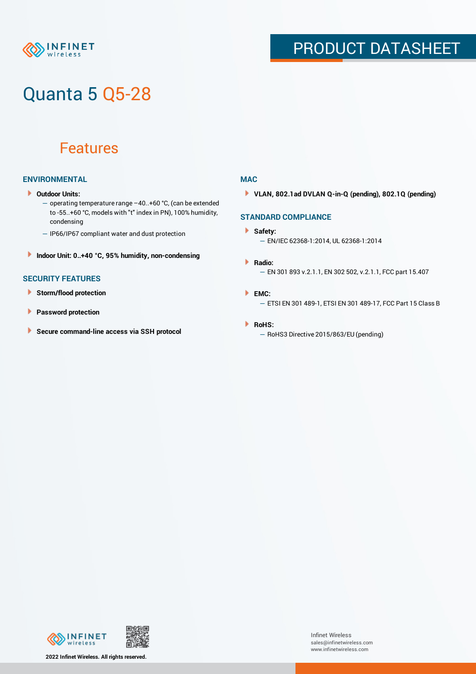

# Quanta 5 Q5-28

### Features

### **ENVIRONMENTAL**

- **Outdoor Units:**
	- operating temperature range –40..+60 °С, (can be extended to -55..+60 °С, models with "t" index in PN), 100% humidity, condensing
	- IP66/IP67 compliant water and dust protection
- **Indoor Unit: 0..+40 °C, 95% humidity, non-condensing**

### **SECURITY FEATURES**

- **Storm/flood protection**
- **Password protection**
- × **Secure command-line access via SSH protocol**

#### **MAC**

**VLAN, 802.1ad DVLAN Q-in-Q (pending), 802.1Q (pending)**

### **STANDARD COMPLIANCE**

#### **Safety:**

- EN/IEC 62368-1:2014, UL 62368-1:2014
- **Radio:** — EN 301 893 v.2.1.1, EN 302 502, v.2.1.1, FCC part 15.407
- **EMC:** — ETSI EN 301 489-1, ETSI EN 301 489-17, FCC Part 15 Class B

#### **RoHS:**

— RoHS3 Directive 2015/863/EU (pending)